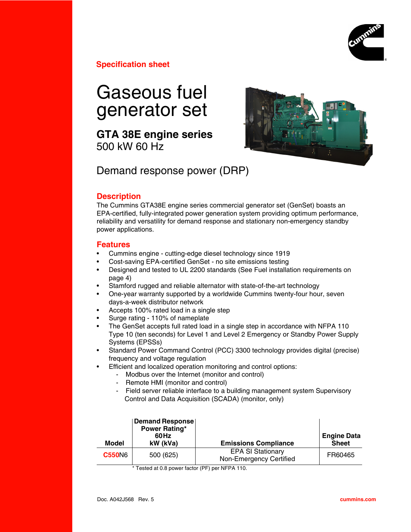

**Specification sheet**

# Gaseous fuel generator set

**GTA 38E engine series** 500 kW 60 Hz



Demand response power (DRP)

### **Description**

The Cummins GTA38E engine series commercial generator set (GenSet) boasts an EPA-certified, fully-integrated power generation system providing optimum performance, reliability and versatility for demand response and stationary non-emergency standby power applications.

### **Features**

- Cummins engine cutting-edge diesel technology since 1919
- Cost-saving EPA-certified GenSet no site emissions testing
- Designed and tested to UL 2200 standards (See Fuel installation requirements on page 4)
- Stamford rugged and reliable alternator with state-of-the-art technology
- One-year warranty supported by a worldwide Cummins twenty-four hour, seven days-a-week distributor network
- Accepts 100% rated load in a single step
- Surge rating 110% of nameplate
- The GenSet accepts full rated load in a single step in accordance with NFPA 110 Type 10 (ten seconds) for Level 1 and Level 2 Emergency or Standby Power Supply Systems (EPSSs)
- Standard Power Command Control (PCC) 3300 technology provides digital (precise) frequency and voltage regulation
- Efficient and localized operation monitoring and control options:
	- Modbus over the Internet (monitor and control)
	- Remote HMI (monitor and control)
	- Field server reliable interface to a building management system Supervisory Control and Data Acquisition (SCADA) (monitor, only)

| Model         | <b>Demand Response</b><br><b>Power Rating*</b><br>60Hz<br>kW (kVa) | <b>Emissions Compliance</b>                         | <b>Engine Data</b><br><b>Sheet</b> |
|---------------|--------------------------------------------------------------------|-----------------------------------------------------|------------------------------------|
| <b>C550N6</b> | 500 (625)                                                          | <b>EPA SI Stationary</b><br>Non-Emergency Certified | FR60465                            |

\* Tested at 0.8 power factor (PF) per NFPA 110.

Ι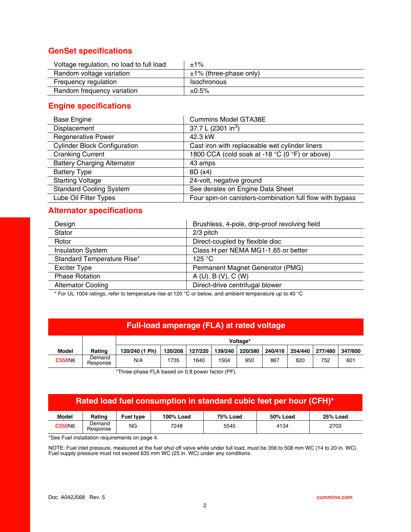# **GenSet specifications**

| Voltage regulation, no load to full load | $±1\%$                      |
|------------------------------------------|-----------------------------|
| Random voltage variation                 | $\pm$ 1% (three-phase only) |
| Frequency regulation                     | <b>Isochronous</b>          |
| Random frequency variation               | ±0.5%                       |

# **Engine specifications**

| <b>Base Engine</b>                  | <b>Cummins Model GTA38E</b>                              |  |  |
|-------------------------------------|----------------------------------------------------------|--|--|
| Displacement                        | 37.7 L (2301 in <sup>3</sup> )                           |  |  |
| <b>Regenerative Power</b>           | 42.3 kW                                                  |  |  |
| <b>Cylinder Block Configuration</b> | Cast iron with replaceable wet cylinder liners           |  |  |
| <b>Cranking Current</b>             | 1800 CCA (cold soak at -18 °C (0 °F) or above)           |  |  |
| <b>Battery Charging Alternator</b>  | 43 amps                                                  |  |  |
| <b>Battery Type</b>                 | 8D (x4)                                                  |  |  |
| <b>Starting Voltage</b>             | 24-volt, negative ground                                 |  |  |
| <b>Standard Cooling System</b>      | See derates on Engine Data Sheet                         |  |  |
| Lube Oil Filter Types               | Four spin-on canisters-combination full flow with bypass |  |  |

# **Alternator specifications**

| Design                     | Brushless, 4-pole, drip-proof revolving field |
|----------------------------|-----------------------------------------------|
| Stator                     | $2/3$ pitch                                   |
| Rotor                      | Direct-coupled by flexible disc               |
| <b>Insulation System</b>   | Class H per NEMA MG1-1.65 or better           |
| Standard Temperature Rise* | 125 $\degree$ C                               |
| Exciter Type               | Permanent Magnet Generator (PMG)              |
| <b>Phase Rotation</b>      | A(U), B(V), C(W)                              |
| <b>Alternator Cooling</b>  | Direct-drive centrifugal blower               |
|                            |                                               |

\* For UL 1004 ratings, refer to temperature rise at 120 °C or below, and ambient temperature up to 40 °C

### **Full-load amperage (FLA) at rated voltage**

|               |                    | Voltage*       |         |         |         |         |         |         |         |         |
|---------------|--------------------|----------------|---------|---------|---------|---------|---------|---------|---------|---------|
| Model         | Rating             | 120/240 (1 Ph) | 120/208 | 127/220 | 139/240 | 220/380 | 240/416 | 254/440 | 277/480 | 347/600 |
| <b>C550N6</b> | Demand<br>Response | N/A            | 1735    | 1640    | 1504    | 950     | 867     | 820     | 752     | 601     |

\*Three-phase FLA based on 0.8 power factor (PF).

# **Rated load fuel consumption in standard cubic feet per hour (CFH)\***

| <b>Model</b>  | Rating             | Fuel type | 100% Load | <b>75% Load</b> | 50% Load | <b>25% Load</b> |
|---------------|--------------------|-----------|-----------|-----------------|----------|-----------------|
| <b>C550N6</b> | Demand<br>Response | ΝG        | 7248      | 5545            | 4134     | 2703            |

\*See Fuel installation requirements on page 4.

NOTE: Fuel inlet pressure, measured at the fuel shut off valve while under full load, must be 356 to 508 mm WC (14 to 20 in. WC). Fuel supply pressure must not exceed 635 mm WC (25 in. WC) under any conditions.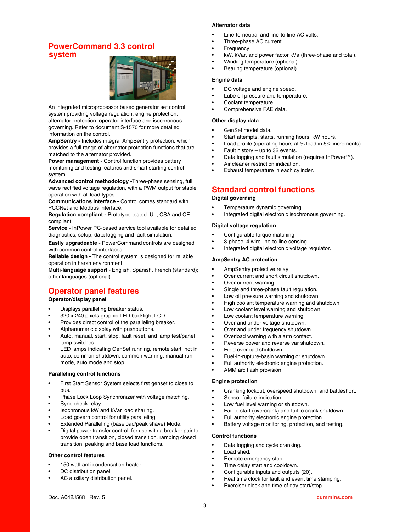# **PowerCommand 3.3 control system**



An integrated microprocessor based generator set control system providing voltage regulation, engine protection, alternator protection, operator interface and isochronous governing. Refer to document S-1570 for more detailed information on the control.

**AmpSentry -** Includes integral AmpSentry protection, which provides a full range of alternator protection functions that are matched to the alternator provided.

**Power management -** Control function provides battery monitoring and testing features and smart starting control system.

**Advanced control methodology -**Three-phase sensing, full wave rectified voltage regulation, with a PWM output for stable operation with all load types.

**Communications interface -** Control comes standard with PCCNet and Modbus interface.

**Regulation compliant -** Prototype tested: UL, CSA and CE compliant.

**Service -** InPower PC-based service tool available for detailed diagnostics, setup, data logging and fault simulation.

**Easily upgradeable -** PowerCommand controls are designed with common control interfaces.

**Reliable design -** The control system is designed for reliable operation in harsh environment.

**Multi-language support** - English, Spanish, French (standard); other languages (optional).

# **Operator panel features**

### **Operator/display panel**

- Displays paralleling breaker status.
- 320 x 240 pixels graphic LED backlight LCD.
- Provides direct control of the paralleling breaker.
- Alphanumeric display with pushbuttons.
- Auto, manual, start, stop, fault reset, and lamp test/panel lamp switches.
- LED lamps indicating GenSet running, remote start, not in auto, common shutdown, common warning, manual run mode, auto mode and stop.

#### **Paralleling control functions**

- First Start Sensor System selects first genset to close to bus.
- Phase Lock Loop Synchronizer with voltage matching.
- Sync check relay.
- Isochronous kW and kVar load sharing.
- Load govern control for utility paralleling.
- Extended Paralleling (baseload/peak shave) Mode.
- Digital power transfer control, for use with a breaker pair to provide open transition, closed transition, ramping closed transition, peaking and base load functions.

#### **Other control features**

- 150 watt anti-condensation heater.
- DC distribution panel.
- AC auxiliary distribution panel.

### **Alternator data**

- Line-to-neutral and line-to-line AC volts.
- Three-phase AC current.
- Frequency.
- kW, kVar, and power factor kVa (three-phase and total).
- Winding temperature (optional).
- Bearing temperature (optional).

#### **Engine data**

- DC voltage and engine speed.
- Lube oil pressure and temperature.
- Coolant temperature.
- Comprehensive FAE data.

#### **Other display data**

- GenSet model data.
- Start attempts, starts, running hours, kW hours.
- Load profile (operating hours at % load in 5% increments).
- Fault history  $-$  up to 32 events.
- Data logging and fault simulation (requires InPower™).
- Air cleaner restriction indication.
- Exhaust temperature in each cylinder.

### **Standard control functions**

### **Digital governing**

- Temperature dynamic governing.
- Integrated digital electronic isochronous governing.

#### **Digital voltage regulation**

- Configurable torque matching.
- 3-phase, 4 wire line-to-line sensing.
- Integrated digital electronic voltage regulator.

### **AmpSentry AC protection**

- AmpSentry protective relay.
- Over current and short circuit shutdown.
- Over current warning.
- Single and three-phase fault regulation.
- Low oil pressure warning and shutdown.
- High coolant temperature warning and shutdown.
- Low coolant level warning and shutdown.
- Low coolant temperature warning.
- Over and under voltage shutdown.
- Over and under frequency shutdown.
- Overload warning with alarm contact.
- Reverse power and reverse var shutdown.
- Field overload shutdown.
- Fuel-in-rupture-basin warning or shutdown.
- Full authority electronic engine protection.
- AMM arc flash provision

#### **Engine protection**

- Cranking lockout; overspeed shutdown; and battleshort.
- Sensor failure indication.
- Low fuel level warning or shutdown.
- Fail to start (overcrank) and fail to crank shutdown.
- Full authority electronic engine protection.
- Battery voltage monitoring, protection, and testing.

#### **Control functions**

- Data logging and cycle cranking.
- Load shed.
- Remote emergency stop.
- Time delay start and cooldown.
- Configurable inputs and outputs (20).
- Real time clock for fault and event time stamping.
- Exerciser clock and time of day start/stop.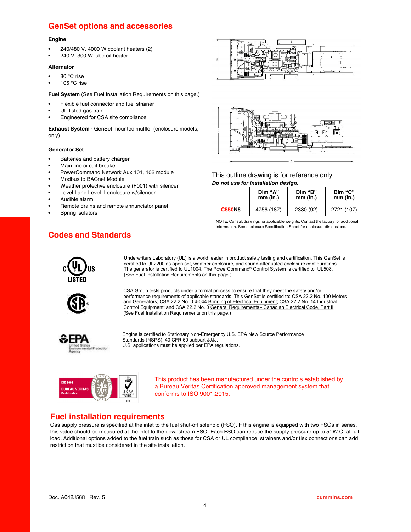# **GenSet options and accessories**

#### **Engine**

- 240/480 V, 4000 W coolant heaters (2)
- 240 V, 300 W lube oil heater

#### **Alternator**

- 80 °C rise
- 105 $\degree$ C rise

**Fuel System** (See Fuel Installation Requirements on this page.)

- Flexible fuel connector and fuel strainer
- UL-listed gas train
- Engineered for CSA site compliance

**Exhaust System -** GenSet mounted muffler (enclosure models, only)

#### **Generator Set**

- Batteries and battery charger
- Main line circuit breaker
- PowerCommand Network Aux 101, 102 module
- Modbus to BACnet Module
- Weather protective enclosure (F001) with silencer
- Level I and Level II enclosure w/silencer
- Audible alarm
- Remote drains and remote annunciator panel
- Spring isolators





This outline drawing is for reference only. *Do not use for installation design.*

|               | Dim "A"    | Dim "B"   | Dim "C"    |  |
|---------------|------------|-----------|------------|--|
|               | mm (in.)   | mm (in.)  | mm (in.)   |  |
| <b>C550N6</b> | 4756 (187) | 2330 (92) | 2721 (107) |  |

NOTE: Consult drawings for applicable weights. Contact the factory for additional information. See enclosure Specification Sheet for enclosure dimensions.

# **Codes and Standards**



Underwriters Laboratory (UL) is a world leader in product safety testing and certification. This GenSet is certified to UL2200 as open set, weather enclosure, and sound-attenuated enclosure configurations. The generator is certified to UL1004. The PowerCommand® Control System is certified to UL508. (See Fuel Installation Requirements on this page.)



CSA Group tests products under a formal process to ensure that they meet the safety and/or performance requirements of applicable standards. This GenSet is certified to: CSA 22.2 No. 100 Motors and Generators; CSA 22.2 No. 0.4-044 Bonding of Electrical Equipment; CSA 22.2 No. 14 Industrial Control Equipment; and CSA 22.2 No. 0 General Requirements - Canadian Electrical Code, Part II. (See Fuel Installation Requirements on this page.)



Engine is certified to Stationary Non-Emergency U.S. EPA New Source Performance Standards (NSPS), 40 CFR 60 subpart JJJJ. U.S. applications must be applied per EPA regulations.



This product has been manufactured under the controls established by a Bureau Veritas Certification approved management system that conforms to ISO 9001:2015.

### **Fuel installation requirements**

Gas supply pressure is specified at the inlet to the fuel shut-off solenoid (FSO). If this engine is equipped with two FSOs in series, this value should be measured at the inlet to the downstream FSO. Each FSO can reduce the supply pressure up to 5" W.C. at full load. Additional options added to the fuel train such as those for CSA or UL compliance, strainers and/or flex connections can add restriction that must be considered in the site installation.